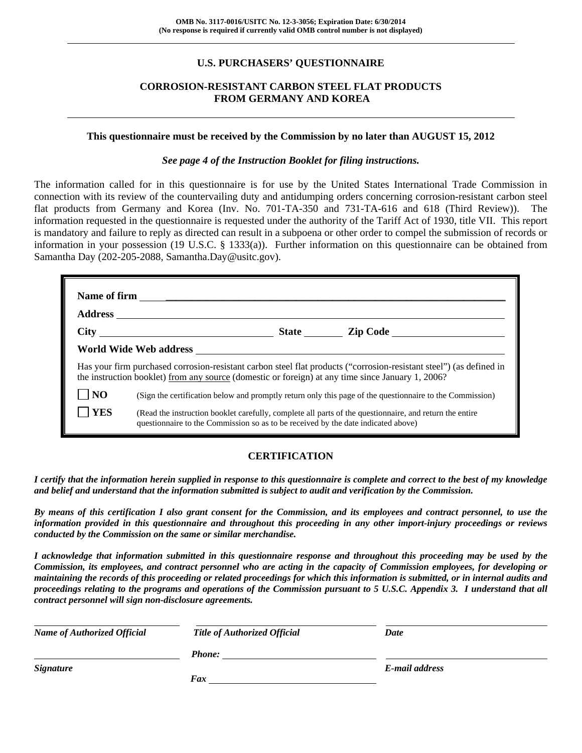## **U.S. PURCHASERS' QUESTIONNAIRE**

## **CORROSION-RESISTANT CARBON STEEL FLAT PRODUCTS FROM GERMANY AND KOREA**

#### **This questionnaire must be received by the Commission by no later than AUGUST 15, 2012**

#### *See page 4 of the Instruction Booklet for filing instructions.*

The information called for in this questionnaire is for use by the United States International Trade Commission in connection with its review of the countervailing duty and antidumping orders concerning corrosion-resistant carbon steel flat products from Germany and Korea (Inv. No. 701-TA-350 and 731-TA-616 and 618 (Third Review)). The information requested in the questionnaire is requested under the authority of the Tariff Act of 1930, title VII. This report is mandatory and failure to reply as directed can result in a subpoena or other order to compel the submission of records or information in your possession (19 U.S.C. § 1333(a)). Further information on this questionnaire can be obtained from Samantha Day (202-205-2088, Samantha.Day@usitc.gov).

|                | Has your firm purchased corrosion-resistant carbon steel flat products ("corrosion-resistant steel") (as defined in<br>the instruction booklet) from any source (domestic or foreign) at any time since January 1, 2006? |  |  |
|----------------|--------------------------------------------------------------------------------------------------------------------------------------------------------------------------------------------------------------------------|--|--|
| N <sub>O</sub> | (Sign the certification below and promptly return only this page of the questionnaire to the Commission)                                                                                                                 |  |  |
| <b>YES</b>     | (Read the instruction booklet carefully, complete all parts of the questionnaire, and return the entire<br>questionnaire to the Commission so as to be received by the date indicated above)                             |  |  |

## **CERTIFICATION**

*I certify that the information herein supplied in response to this questionnaire is complete and correct to the best of my knowledge and belief and understand that the information submitted is subject to audit and verification by the Commission.* 

*By means of this certification I also grant consent for the Commission, and its employees and contract personnel, to use the information provided in this questionnaire and throughout this proceeding in any other import-injury proceedings or reviews conducted by the Commission on the same or similar merchandise.* 

*I acknowledge that information submitted in this questionnaire response and throughout this proceeding may be used by the Commission, its employees, and contract personnel who are acting in the capacity of Commission employees, for developing or maintaining the records of this proceeding or related proceedings for which this information is submitted, or in internal audits and proceedings relating to the programs and operations of the Commission pursuant to 5 U.S.C. Appendix 3. I understand that all contract personnel will sign non-disclosure agreements.* 

| <b>Name of Authorized Official</b> | <b>Title of Authorized Official</b> | Date           |  |
|------------------------------------|-------------------------------------|----------------|--|
|                                    | <b>Phone:</b>                       |                |  |
| <b>Signature</b>                   |                                     | E-mail address |  |
|                                    | Fax                                 |                |  |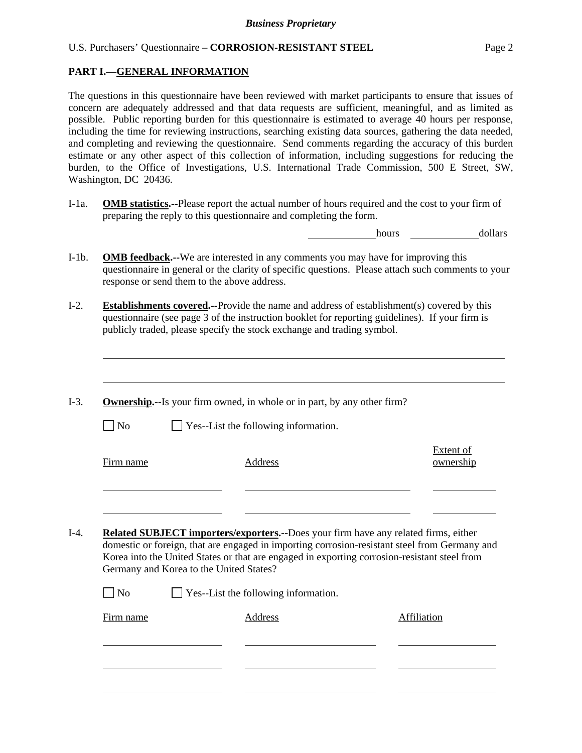### **PART I.—GENERAL INFORMATION**

l

The questions in this questionnaire have been reviewed with market participants to ensure that issues of concern are adequately addressed and that data requests are sufficient, meaningful, and as limited as possible. Public reporting burden for this questionnaire is estimated to average 40 hours per response, including the time for reviewing instructions, searching existing data sources, gathering the data needed, and completing and reviewing the questionnaire. Send comments regarding the accuracy of this burden estimate or any other aspect of this collection of information, including suggestions for reducing the burden, to the Office of Investigations, U.S. International Trade Commission, 500 E Street, SW, Washington, DC 20436.

I-1a. **OMB statistics.--**Please report the actual number of hours required and the cost to your firm of preparing the reply to this questionnaire and completing the form.

hours **dollars** 

- I-1b. **OMB feedback.--**We are interested in any comments you may have for improving this questionnaire in general or the clarity of specific questions. Please attach such comments to your response or send them to the above address.
- I-2. **Establishments covered.--**Provide the name and address of establishment(s) covered by this questionnaire (see page 3 of the instruction booklet for reporting guidelines). If your firm is publicly traded, please specify the stock exchange and trading symbol.
- I-3. **Ownership.--**Is your firm owned, in whole or in part, by any other firm?  $\Box$  No  $\Box$  Yes--List the following information. Firm name Address Extent of ownership l l I-4. **Related SUBJECT importers/exporters.--**Does your firm have any related firms, either
	- domestic or foreign, that are engaged in importing corrosion-resistant steel from Germany and Korea into the United States or that are engaged in exporting corrosion-resistant steel from Germany and Korea to the United States?

| $\Box$ No         | $\Box$ Yes--List the following information. |             |
|-------------------|---------------------------------------------|-------------|
| Fi <u>rm name</u> | Address                                     | Affiliation |
|                   |                                             |             |
|                   |                                             |             |
|                   |                                             |             |
|                   |                                             |             |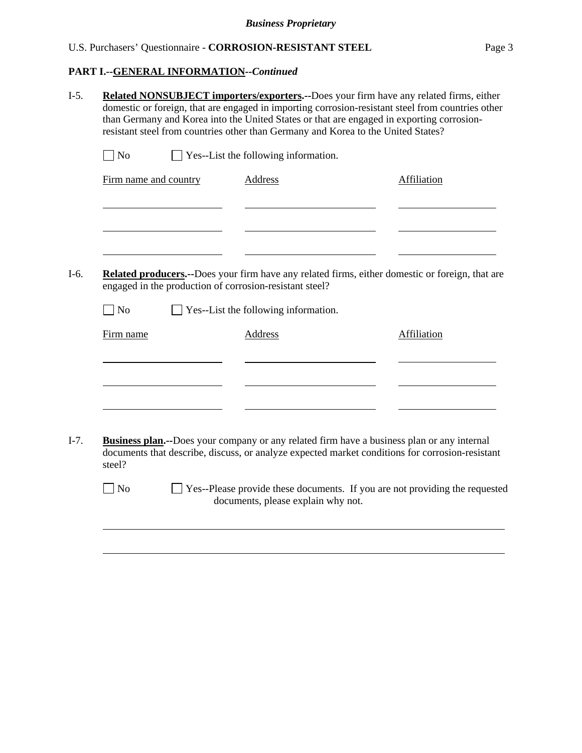**PART I.--GENERAL INFORMATION***--Continued* 

|           | Related NONSUBJECT importers/exporters.--Does your firm have any related firms, either<br>domestic or foreign, that are engaged in importing corrosion-resistant steel from countries other<br>than Germany and Korea into the United States or that are engaged in exporting corrosion-<br>resistant steel from countries other than Germany and Korea to the United States? |                                                         |                                                                                                                                                                                                       |  |  |  |
|-----------|-------------------------------------------------------------------------------------------------------------------------------------------------------------------------------------------------------------------------------------------------------------------------------------------------------------------------------------------------------------------------------|---------------------------------------------------------|-------------------------------------------------------------------------------------------------------------------------------------------------------------------------------------------------------|--|--|--|
| $\neg$ No |                                                                                                                                                                                                                                                                                                                                                                               | Yes--List the following information.                    |                                                                                                                                                                                                       |  |  |  |
|           | Firm name and country                                                                                                                                                                                                                                                                                                                                                         | <b>Address</b>                                          | Affiliation                                                                                                                                                                                           |  |  |  |
|           |                                                                                                                                                                                                                                                                                                                                                                               |                                                         |                                                                                                                                                                                                       |  |  |  |
|           |                                                                                                                                                                                                                                                                                                                                                                               | engaged in the production of corrosion-resistant steel? | Related producers.--Does your firm have any related firms, either domestic or foreign, that are                                                                                                       |  |  |  |
| No        |                                                                                                                                                                                                                                                                                                                                                                               | Yes--List the following information.                    |                                                                                                                                                                                                       |  |  |  |
| Firm name |                                                                                                                                                                                                                                                                                                                                                                               | Address                                                 | Affiliation                                                                                                                                                                                           |  |  |  |
|           |                                                                                                                                                                                                                                                                                                                                                                               |                                                         |                                                                                                                                                                                                       |  |  |  |
|           |                                                                                                                                                                                                                                                                                                                                                                               |                                                         |                                                                                                                                                                                                       |  |  |  |
|           |                                                                                                                                                                                                                                                                                                                                                                               |                                                         |                                                                                                                                                                                                       |  |  |  |
| steel?    |                                                                                                                                                                                                                                                                                                                                                                               |                                                         | <b>Business plan.</b> --Does your company or any related firm have a business plan or any internal<br>documents that describe, discuss, or analyze expected market conditions for corrosion-resistant |  |  |  |
|           |                                                                                                                                                                                                                                                                                                                                                                               |                                                         |                                                                                                                                                                                                       |  |  |  |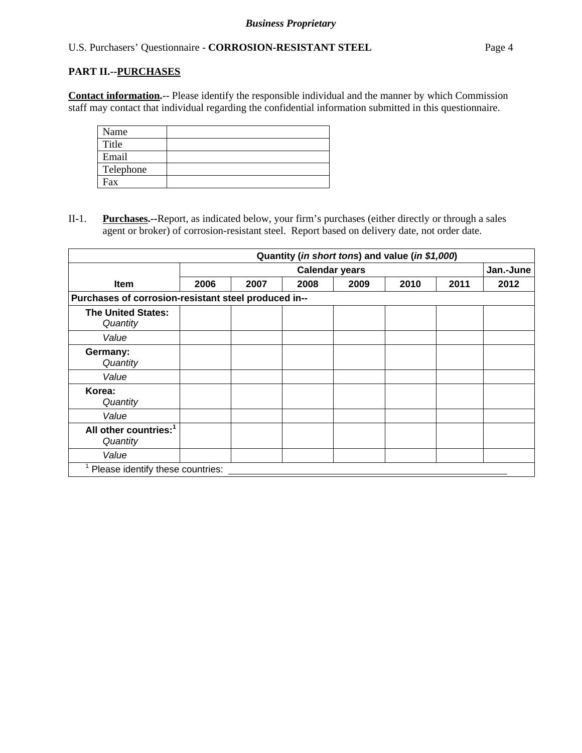### **PART II.--PURCHASES**

**Contact information.**-- Please identify the responsible individual and the manner by which Commission staff may contact that individual regarding the confidential information submitted in this questionnaire.

| Name      |  |
|-----------|--|
| Title     |  |
| Email     |  |
| Telephone |  |
| Fax       |  |

II-1. **Purchases.--**Report, as indicated below, your firm's purchases (either directly or through a sales agent or broker) of corrosion-resistant steel. Report based on delivery date, not order date.

|                                                      |                       |      |      |      | Quantity (in short tons) and value (in \$1,000) |      |      |
|------------------------------------------------------|-----------------------|------|------|------|-------------------------------------------------|------|------|
|                                                      | <b>Calendar years</b> |      |      |      | Jan.-June                                       |      |      |
| <b>Item</b>                                          | 2006                  | 2007 | 2008 | 2009 | 2010                                            | 2011 | 2012 |
| Purchases of corrosion-resistant steel produced in-- |                       |      |      |      |                                                 |      |      |
| <b>The United States:</b><br>Quantity                |                       |      |      |      |                                                 |      |      |
| Value                                                |                       |      |      |      |                                                 |      |      |
| Germany:<br>Quantity                                 |                       |      |      |      |                                                 |      |      |
| Value                                                |                       |      |      |      |                                                 |      |      |
| Korea:<br>Quantity                                   |                       |      |      |      |                                                 |      |      |
| Value                                                |                       |      |      |      |                                                 |      |      |
| All other countries: <sup>1</sup><br>Quantity        |                       |      |      |      |                                                 |      |      |
| Value                                                |                       |      |      |      |                                                 |      |      |
| Please identify these countries:                     |                       |      |      |      |                                                 |      |      |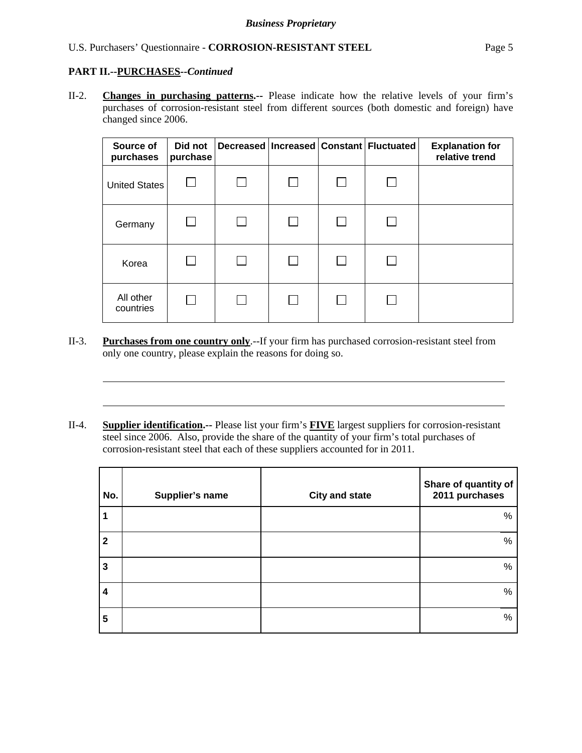# **PART II.--PURCHASES***--Continued*

l

l

II-2. **Changes in purchasing patterns.--** Please indicate how the relative levels of your firm's purchases of corrosion-resistant steel from different sources (both domestic and foreign) have changed since 2006.

| Source of<br>purchases | Did not<br>purchase |  | Decreased   Increased   Constant   Fluctuated | <b>Explanation for</b><br>relative trend |
|------------------------|---------------------|--|-----------------------------------------------|------------------------------------------|
| United States          |                     |  |                                               |                                          |
| Germany                | $\mathsf{L}$        |  |                                               |                                          |
| Korea                  |                     |  |                                               |                                          |
| All other<br>countries | ΙI                  |  |                                               |                                          |

- II-3. **Purchases from one country only**.--If your firm has purchased corrosion-resistant steel from only one country, please explain the reasons for doing so.
- II-4. **Supplier identification.--** Please list your firm's **FIVE** largest suppliers for corrosion-resistant steel since 2006. Also, provide the share of the quantity of your firm's total purchases of corrosion-resistant steel that each of these suppliers accounted for in 2011.

| No.          | Supplier's name | <b>City and state</b> | Share of quantity of<br>2011 purchases |
|--------------|-----------------|-----------------------|----------------------------------------|
| 1            |                 |                       | %                                      |
| $\mathbf{2}$ |                 |                       | $\%$                                   |
| 3            |                 |                       | %                                      |
| 4            |                 |                       | $\%$                                   |
| 5            |                 |                       | $\%$                                   |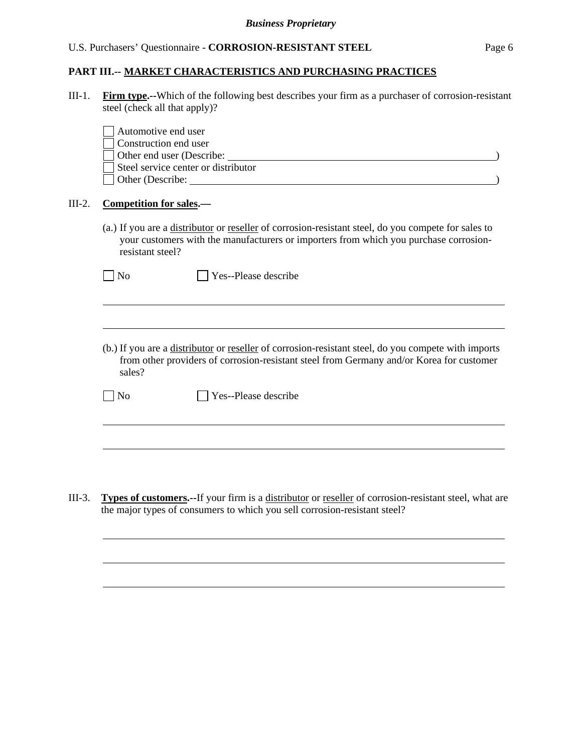### **PART III.-- MARKET CHARACTERISTICS AND PURCHASING PRACTICES**

III-1. **Firm type.--**Which of the following best describes your firm as a purchaser of corrosion-resistant steel (check all that apply)?

|          | Automotive end user<br>Construction end user<br>Other end user (Describe:<br>Steel service center or distributor<br>Other (Describe: 2008)                                                                       |
|----------|------------------------------------------------------------------------------------------------------------------------------------------------------------------------------------------------------------------|
| $III-2.$ | <b>Competition for sales.—</b>                                                                                                                                                                                   |
|          | (a.) If you are a distributor or reseller of corrosion-resistant steel, do you compete for sales to<br>your customers with the manufacturers or importers from which you purchase corrosion-<br>resistant steel? |
|          | Yes--Please describe<br>N <sub>0</sub>                                                                                                                                                                           |
|          |                                                                                                                                                                                                                  |
|          | (b.) If you are a distributor or reseller of corrosion-resistant steel, do you compete with imports<br>from other providers of corrosion-resistant steel from Germany and/or Korea for customer<br>sales?        |
|          | Yes--Please describe<br>No                                                                                                                                                                                       |
|          |                                                                                                                                                                                                                  |

III-3. **Types of customers.--**If your firm is a distributor or reseller of corrosion-resistant steel, what are the major types of consumers to which you sell corrosion-resistant steel?

 $\overline{a}$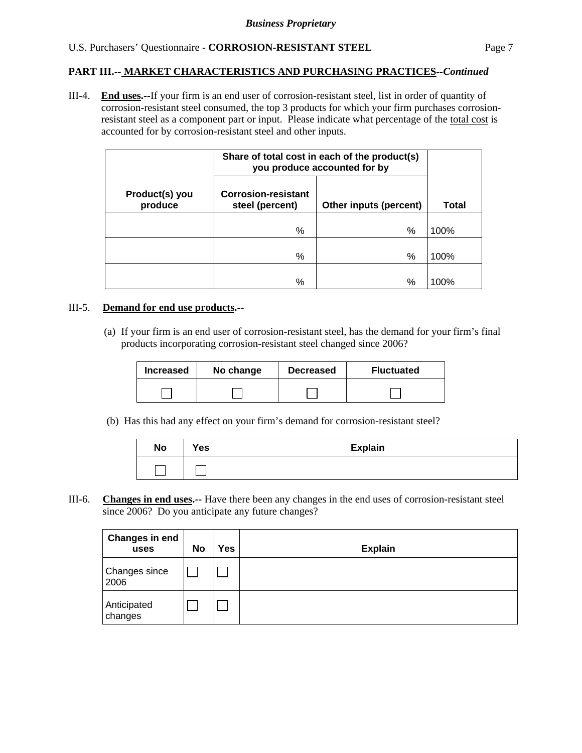## **PART III.-- MARKET CHARACTERISTICS AND PURCHASING PRACTICES***--Continued*

III-4. **End uses.--**If your firm is an end user of corrosion-resistant steel, list in order of quantity of corrosion-resistant steel consumed, the top 3 products for which your firm purchases corrosionresistant steel as a component part or input. Please indicate what percentage of the total cost is accounted for by corrosion-resistant steel and other inputs.

| Share of total cost in each of the product(s)<br>you produce accounted for by |                                               |                        |       |
|-------------------------------------------------------------------------------|-----------------------------------------------|------------------------|-------|
| Product(s) you<br>produce                                                     | <b>Corrosion-resistant</b><br>steel (percent) | Other inputs (percent) | Total |
|                                                                               | %                                             | %                      | 100%  |
|                                                                               | %                                             | $\%$                   | 100%  |
|                                                                               | %                                             | %                      | 100%  |

### III-5. **Demand for end use products.--**

(a) If your firm is an end user of corrosion-resistant steel, has the demand for your firm's final products incorporating corrosion-resistant steel changed since 2006?

| <b>Increased</b> | No change |  | <b>Fluctuated</b> |
|------------------|-----------|--|-------------------|
|                  |           |  |                   |

(b) Has this had any effect on your firm's demand for corrosion-resistant steel?

| <b>No</b> | Yes | <b>Explain</b> |
|-----------|-----|----------------|
|           |     |                |

III-6. **Changes in end uses.--** Have there been any changes in the end uses of corrosion-resistant steel since 2006? Do you anticipate any future changes?

| Changes in end<br>uses       | No | Yes | <b>Explain</b> |
|------------------------------|----|-----|----------------|
| <b>Changes since</b><br>2006 |    |     |                |
| Anticipated<br>changes       |    |     |                |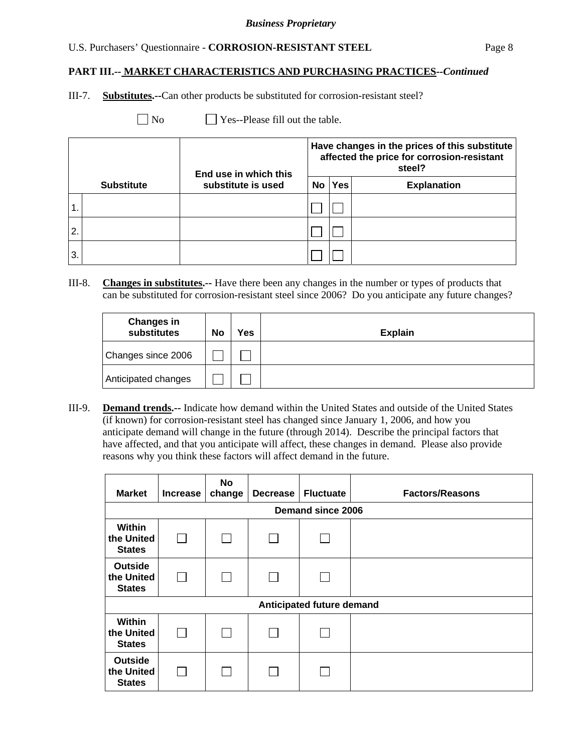### **PART III.-- MARKET CHARACTERISTICS AND PURCHASING PRACTICES***--Continued*

III-7. **Substitutes.--**Can other products be substituted for corrosion-resistant steel?

No **Yes--Please fill out the table.** 

|    |                   | End use in which this | Have changes in the prices of this substitute<br>affected the price for corrosion-resistant<br>steel? |            |                    |  |
|----|-------------------|-----------------------|-------------------------------------------------------------------------------------------------------|------------|--------------------|--|
|    | <b>Substitute</b> | substitute is used    | No                                                                                                    | <b>Yes</b> | <b>Explanation</b> |  |
|    |                   |                       |                                                                                                       |            |                    |  |
| 2. |                   |                       |                                                                                                       |            |                    |  |
| 3. |                   |                       |                                                                                                       |            |                    |  |

III-8. **Changes in substitutes.--** Have there been any changes in the number or types of products that can be substituted for corrosion-resistant steel since 2006? Do you anticipate any future changes?

| <b>Changes in</b><br>substitutes | No | Yes | <b>Explain</b> |
|----------------------------------|----|-----|----------------|
| Changes since 2006               |    |     |                |
| Anticipated changes              |    |     |                |

III-9. **Demand trends.--** Indicate how demand within the United States and outside of the United States (if known) for corrosion-resistant steel has changed since January 1, 2006, and how you anticipate demand will change in the future (through 2014). Describe the principal factors that have affected, and that you anticipate will affect, these changes in demand. Please also provide reasons why you think these factors will affect demand in the future.

| <b>Market</b>                                 | <b>Increase</b>          | <b>No</b><br>change | <b>Decrease</b> | <b>Fluctuate</b>          | <b>Factors/Reasons</b> |  |  |  |
|-----------------------------------------------|--------------------------|---------------------|-----------------|---------------------------|------------------------|--|--|--|
|                                               | <b>Demand since 2006</b> |                     |                 |                           |                        |  |  |  |
| Within<br>the United<br><b>States</b>         |                          |                     | L               |                           |                        |  |  |  |
| <b>Outside</b><br>the United<br><b>States</b> | $\mathbf{I}$             |                     | $\mathbf{I}$    |                           |                        |  |  |  |
|                                               |                          |                     |                 | Anticipated future demand |                        |  |  |  |
| Within<br>the United<br><b>States</b>         |                          |                     | L               |                           |                        |  |  |  |
| <b>Outside</b><br>the United<br><b>States</b> |                          |                     |                 |                           |                        |  |  |  |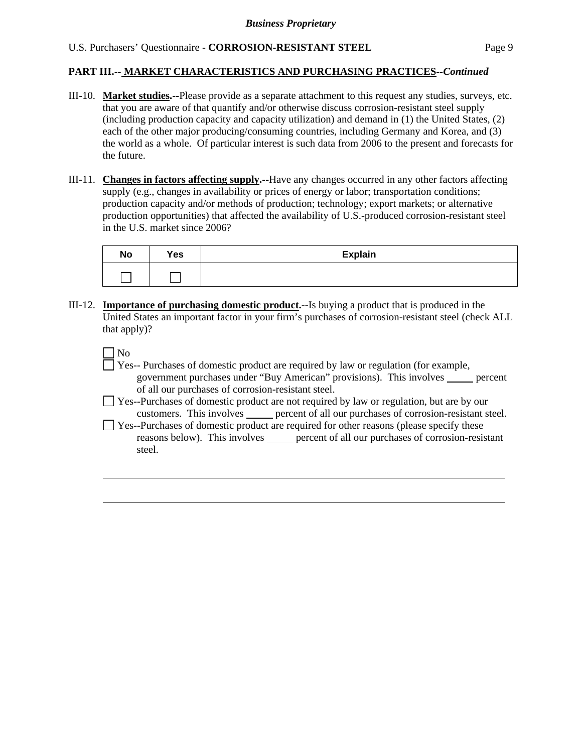### **PART III.-- MARKET CHARACTERISTICS AND PURCHASING PRACTICES***--Continued*

- III-10. **Market studies.--**Please provide as a separate attachment to this request any studies, surveys, etc. that you are aware of that quantify and/or otherwise discuss corrosion-resistant steel supply (including production capacity and capacity utilization) and demand in (1) the United States, (2) each of the other major producing/consuming countries, including Germany and Korea, and (3) the world as a whole. Of particular interest is such data from 2006 to the present and forecasts for the future.
- III-11. **Changes in factors affecting supply.--**Have any changes occurred in any other factors affecting supply (e.g., changes in availability or prices of energy or labor; transportation conditions; production capacity and/or methods of production; technology; export markets; or alternative production opportunities) that affected the availability of U.S.-produced corrosion-resistant steel in the U.S. market since 2006?

| <b>No</b> | Yes                                        | <b>Explain</b> |
|-----------|--------------------------------------------|----------------|
|           | <b>Contract Contract Contract Contract</b> |                |

III-12. **Importance of purchasing domestic product.--**Is buying a product that is produced in the United States an important factor in your firm's purchases of corrosion-resistant steel (check ALL that apply)?

 $\Box$  No

 $\overline{a}$ 

- Yes-- Purchases of domestic product are required by law or regulation (for example, government purchases under "Buy American" provisions). This involves percent of all our purchases of corrosion-resistant steel.
- Yes--Purchases of domestic product are not required by law or regulation, but are by our customers. This involves percent of all our purchases of corrosion-resistant steel.
- T Yes--Purchases of domestic product are required for other reasons (please specify these reasons below). This involves \_\_\_\_\_ percent of all our purchases of corrosion-resistant steel.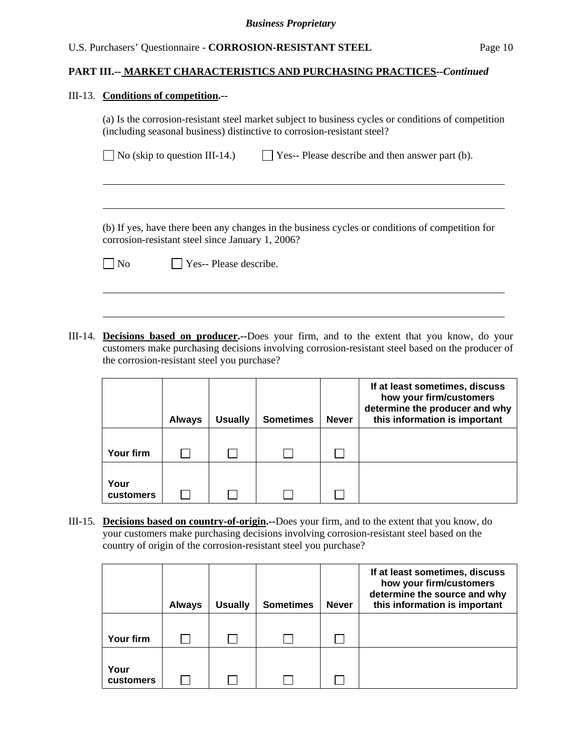### **PART III.-- MARKET CHARACTERISTICS AND PURCHASING PRACTICES***--Continued*

#### III-13. **Conditions of competition.--**

l

 $\overline{a}$ 

(a) Is the corrosion-resistant steel market subject to business cycles or conditions of competition (including seasonal business) distinctive to corrosion-resistant steel?

| $\Box$ No (skip to question III-14.) | $\Box$ Yes-- Please describe and then answer part (b). |
|--------------------------------------|--------------------------------------------------------|
|--------------------------------------|--------------------------------------------------------|

 (b) If yes, have there been any changes in the business cycles or conditions of competition for corrosion-resistant steel since January 1, 2006?

| <b>No</b> |  |  |  | $\Box$ Yes-- Please describe. |
|-----------|--|--|--|-------------------------------|
|-----------|--|--|--|-------------------------------|

III-14. **Decisions based on producer.--**Does your firm, and to the extent that you know, do your customers make purchasing decisions involving corrosion-resistant steel based on the producer of the corrosion-resistant steel you purchase?

|                          | <b>Always</b> | <b>Usually</b> | <b>Sometimes</b> | <b>Never</b> | If at least sometimes, discuss<br>how your firm/customers<br>determine the producer and why<br>this information is important |
|--------------------------|---------------|----------------|------------------|--------------|------------------------------------------------------------------------------------------------------------------------------|
| Your firm                |               |                |                  |              |                                                                                                                              |
| Your<br><b>customers</b> |               |                |                  |              |                                                                                                                              |

III-15. **Decisions based on country-of-origin.--**Does your firm, and to the extent that you know, do your customers make purchasing decisions involving corrosion-resistant steel based on the country of origin of the corrosion-resistant steel you purchase?

|                   | <b>Always</b> | <b>Usually</b> | <b>Sometimes</b> | <b>Never</b> | If at least sometimes, discuss<br>how your firm/customers<br>determine the source and why<br>this information is important |
|-------------------|---------------|----------------|------------------|--------------|----------------------------------------------------------------------------------------------------------------------------|
|                   |               |                |                  |              |                                                                                                                            |
| Your firm         |               |                |                  |              |                                                                                                                            |
| Your<br>customers |               |                |                  |              |                                                                                                                            |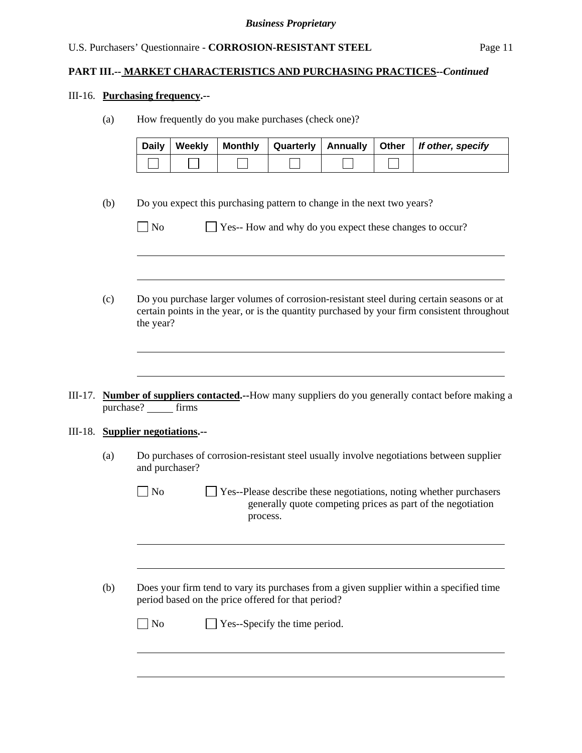### **PART III.-- MARKET CHARACTERISTICS AND PURCHASING PRACTICES***--Continued*

#### III-16. **Purchasing frequency.--**

 $\overline{a}$ 

(a) How frequently do you make purchases (check one)?

| Daily   Weekly |  |  | Monthly   Quarterly   Annually   Other   If other, specify |
|----------------|--|--|------------------------------------------------------------|
|                |  |  |                                                            |

(b) Do you expect this purchasing pattern to change in the next two years?

No Ses-- How and why do you expect these changes to occur?

- (c) Do you purchase larger volumes of corrosion-resistant steel during certain seasons or at certain points in the year, or is the quantity purchased by your firm consistent throughout the year?
- III-17. **Number of suppliers contacted.--**How many suppliers do you generally contact before making a purchase? \_\_\_\_\_\_ firms

#### III-18. **Supplier negotiations.--**

l

 $\overline{a}$ 

l

(a) Do purchases of corrosion-resistant steel usually involve negotiations between supplier and purchaser?

 $\Box$  No  $\Box$  Yes--Please describe these negotiations, noting whether purchasers generally quote competing prices as part of the negotiation process.

(b) Does your firm tend to vary its purchases from a given supplier within a specified time period based on the price offered for that period?

| $\Box$ No | $\Box$ Yes--Specify the time period. |  |
|-----------|--------------------------------------|--|
|-----------|--------------------------------------|--|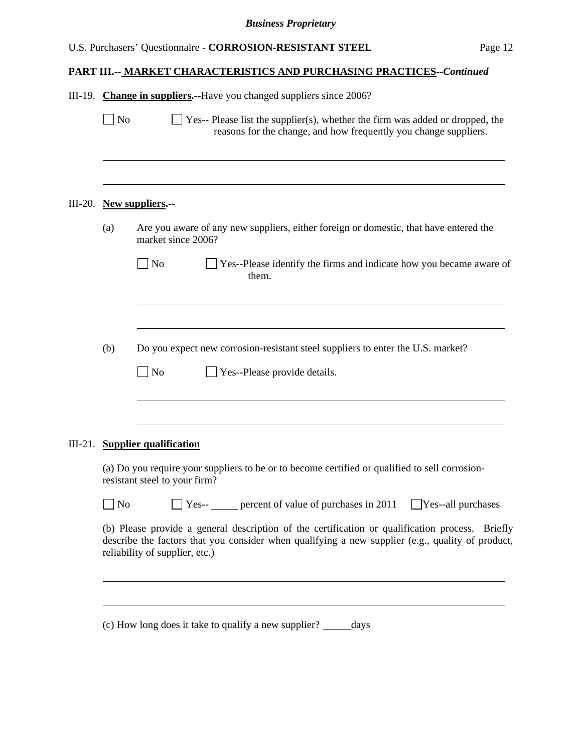# **PART III.-- MARKET CHARACTERISTICS AND PURCHASING PRACTICES***--Continued*

|                | III-19. Change in suppliers.--Have you changed suppliers since 2006?                                                                                                                                                                  |  |  |  |  |  |  |  |
|----------------|---------------------------------------------------------------------------------------------------------------------------------------------------------------------------------------------------------------------------------------|--|--|--|--|--|--|--|
| $\vert$ No     | Yes-- Please list the supplier(s), whether the firm was added or dropped, the<br>reasons for the change, and how frequently you change suppliers.                                                                                     |  |  |  |  |  |  |  |
|                |                                                                                                                                                                                                                                       |  |  |  |  |  |  |  |
|                | III-20. New suppliers.--                                                                                                                                                                                                              |  |  |  |  |  |  |  |
| (a)            | Are you aware of any new suppliers, either foreign or domestic, that have entered the<br>market since 2006?                                                                                                                           |  |  |  |  |  |  |  |
|                | $\Box$ No<br>$\Box$ Yes--Please identify the firms and indicate how you became aware of<br>them.                                                                                                                                      |  |  |  |  |  |  |  |
|                |                                                                                                                                                                                                                                       |  |  |  |  |  |  |  |
| (b)            | Do you expect new corrosion-resistant steel suppliers to enter the U.S. market?                                                                                                                                                       |  |  |  |  |  |  |  |
|                | No<br>Yes--Please provide details.                                                                                                                                                                                                    |  |  |  |  |  |  |  |
|                | III-21. Supplier qualification                                                                                                                                                                                                        |  |  |  |  |  |  |  |
|                | (a) Do you require your suppliers to be or to become certified or qualified to sell corrosion-<br>resistant steel to your firm?                                                                                                       |  |  |  |  |  |  |  |
| N <sub>o</sub> | Yes-- <u>percent</u> of value of purchases in 2011<br>Yes--all purchases                                                                                                                                                              |  |  |  |  |  |  |  |
|                | (b) Please provide a general description of the certification or qualification process. Briefly<br>describe the factors that you consider when qualifying a new supplier (e.g., quality of product,<br>reliability of supplier, etc.) |  |  |  |  |  |  |  |
|                |                                                                                                                                                                                                                                       |  |  |  |  |  |  |  |
|                | (c) How long does it take to qualify a new supplier?<br>days                                                                                                                                                                          |  |  |  |  |  |  |  |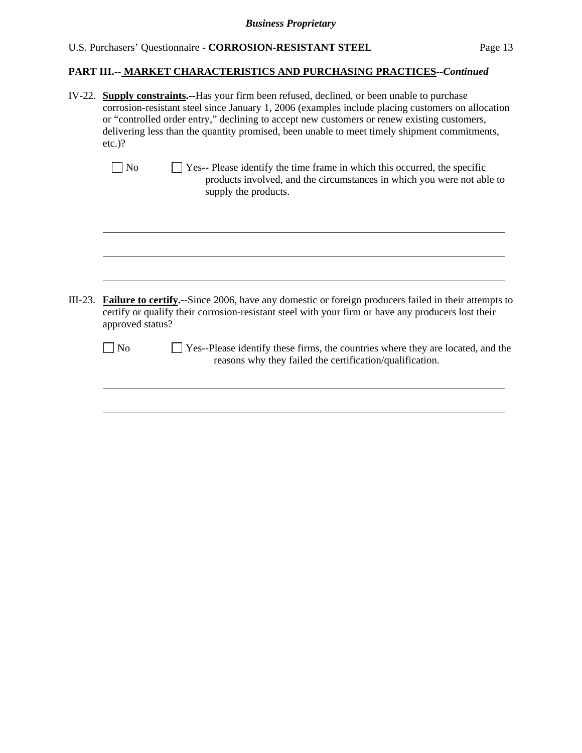# *Business Proprietary*

# U.S. Purchasers' Questionnaire - **CORROSION-RESISTANT STEEL** Page 13

# **PART III.-- MARKET CHARACTERISTICS AND PURCHASING PRACTICES***--Continued*

|           | IV-22. Supply constraints.--Has your firm been refused, declined, or been unable to purchase<br>corrosion-resistant steel since January 1, 2006 (examples include placing customers on allocation<br>or "controlled order entry," declining to accept new customers or renew existing customers,<br>delivering less than the quantity promised, been unable to meet timely shipment commitments,<br>$etc.$ ? |  |  |  |  |  |  |  |  |
|-----------|--------------------------------------------------------------------------------------------------------------------------------------------------------------------------------------------------------------------------------------------------------------------------------------------------------------------------------------------------------------------------------------------------------------|--|--|--|--|--|--|--|--|
|           | ] No<br>Yes-- Please identify the time frame in which this occurred, the specific<br>products involved, and the circumstances in which you were not able to<br>supply the products.                                                                                                                                                                                                                          |  |  |  |  |  |  |  |  |
|           |                                                                                                                                                                                                                                                                                                                                                                                                              |  |  |  |  |  |  |  |  |
| $III-23.$ | <b>Failure to certify.</b> -Since 2006, have any domestic or foreign producers failed in their attempts to<br>certify or qualify their corrosion-resistant steel with your firm or have any producers lost their<br>approved status?                                                                                                                                                                         |  |  |  |  |  |  |  |  |
|           | Yes--Please identify these firms, the countries where they are located, and the<br>N <sub>o</sub><br>reasons why they failed the certification/qualification.                                                                                                                                                                                                                                                |  |  |  |  |  |  |  |  |
|           |                                                                                                                                                                                                                                                                                                                                                                                                              |  |  |  |  |  |  |  |  |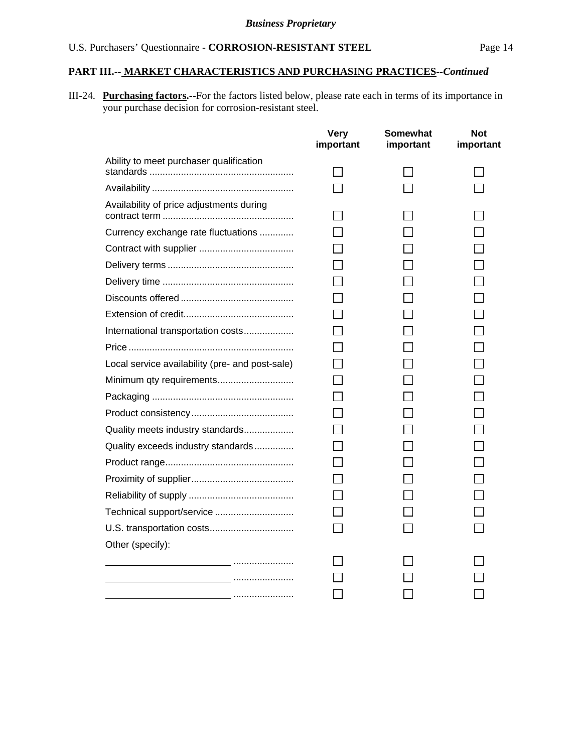# **PART III.-- MARKET CHARACTERISTICS AND PURCHASING PRACTICES***--Continued*

III-24. **Purchasing factors.--**For the factors listed below, please rate each in terms of its importance in your purchase decision for corrosion-resistant steel.

|                                                 | <b>Very</b><br>important | Somewhat<br>important | <b>Not</b><br>important |
|-------------------------------------------------|--------------------------|-----------------------|-------------------------|
| Ability to meet purchaser qualification         |                          |                       |                         |
|                                                 |                          |                       |                         |
| Availability of price adjustments during        |                          |                       |                         |
| Currency exchange rate fluctuations             |                          |                       |                         |
|                                                 |                          |                       |                         |
|                                                 |                          |                       |                         |
|                                                 |                          |                       |                         |
|                                                 |                          |                       |                         |
|                                                 |                          |                       |                         |
| International transportation costs              |                          |                       |                         |
|                                                 |                          |                       |                         |
| Local service availability (pre- and post-sale) |                          |                       |                         |
| Minimum qty requirements                        |                          |                       |                         |
|                                                 |                          |                       |                         |
|                                                 |                          |                       |                         |
| Quality meets industry standards                |                          |                       |                         |
| Quality exceeds industry standards              |                          |                       |                         |
|                                                 |                          |                       |                         |
|                                                 |                          |                       |                         |
|                                                 |                          |                       |                         |
|                                                 |                          |                       |                         |
|                                                 |                          |                       |                         |
| Other (specify):                                |                          |                       |                         |
|                                                 |                          |                       |                         |
|                                                 |                          |                       |                         |
|                                                 |                          |                       |                         |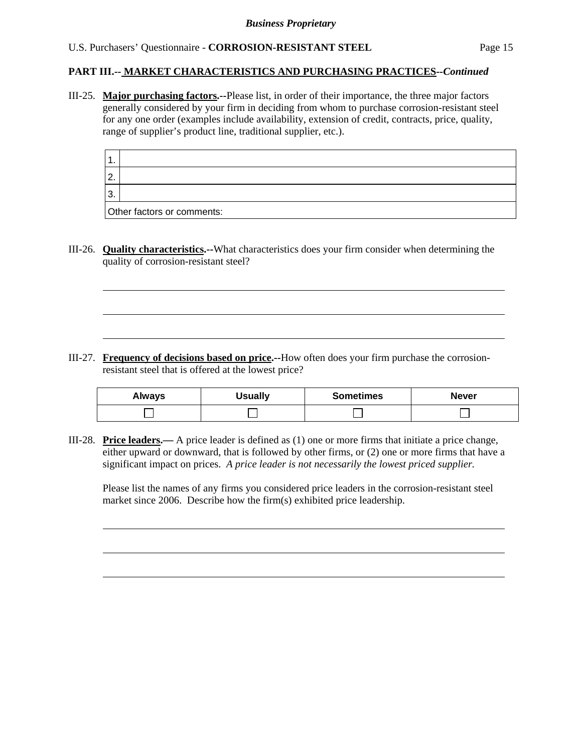### **PART III.-- MARKET CHARACTERISTICS AND PURCHASING PRACTICES***--Continued*

III-25. **Major purchasing factors.--**Please list, in order of their importance, the three major factors generally considered by your firm in deciding from whom to purchase corrosion-resistant steel for any one order (examples include availability, extension of credit, contracts, price, quality, range of supplier's product line, traditional supplier, etc.).

| $\sqrt{2}$ |   |
|------------|---|
| -3.        |   |
| $\sim$     | - |

Other factors or comments:

l

l

III-26. **Quality characteristics.--**What characteristics does your firm consider when determining the quality of corrosion-resistant steel?

III-27. **Frequency of decisions based on price.--**How often does your firm purchase the corrosionresistant steel that is offered at the lowest price?

| <b>Always</b> | <b>Usually</b> | <b>Sometimes</b> | <b>Never</b> |
|---------------|----------------|------------------|--------------|
|               |                |                  |              |

III-28. **Price leaders.—** A price leader is defined as (1) one or more firms that initiate a price change, either upward or downward, that is followed by other firms, or (2) one or more firms that have a significant impact on prices. *A price leader is not necessarily the lowest priced supplier.* 

Please list the names of any firms you considered price leaders in the corrosion-resistant steel market since 2006. Describe how the firm(s) exhibited price leadership.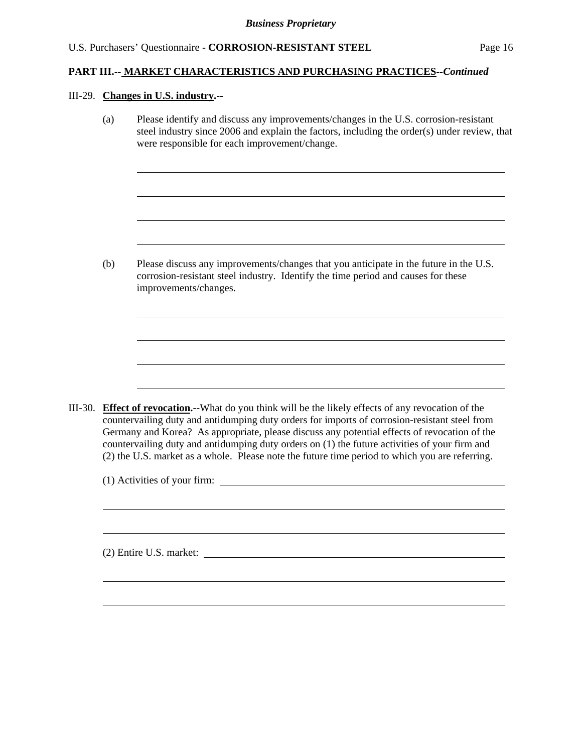## **PART III.-- MARKET CHARACTERISTICS AND PURCHASING PRACTICES***--Continued*

### III-29. **Changes in U.S. industry.--**

l

l

(a) Please identify and discuss any improvements/changes in the U.S. corrosion-resistant steel industry since 2006 and explain the factors, including the order(s) under review, that were responsible for each improvement/change.

(b) Please discuss any improvements/changes that you anticipate in the future in the U.S. corrosion-resistant steel industry. Identify the time period and causes for these improvements/changes.

III-30. **Effect of revocation.--**What do you think will be the likely effects of any revocation of the countervailing duty and antidumping duty orders for imports of corrosion-resistant steel from Germany and Korea? As appropriate, please discuss any potential effects of revocation of the countervailing duty and antidumping duty orders on (1) the future activities of your firm and (2) the U.S. market as a whole. Please note the future time period to which you are referring.

(1) Activities of your firm:

(2) Entire U.S. market: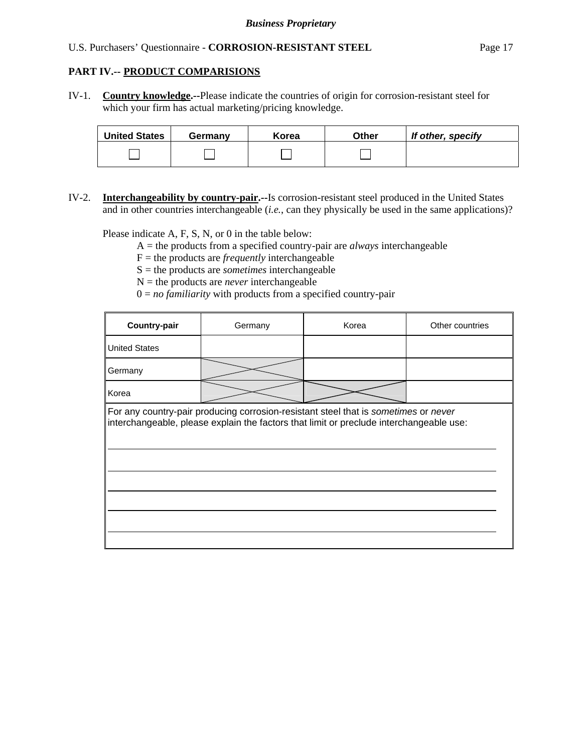### **PART IV.-- PRODUCT COMPARISIONS**

IV-1. **Country knowledge.--**Please indicate the countries of origin for corrosion-resistant steel for which your firm has actual marketing/pricing knowledge.

| <b>United States</b> | Germany | Korea | Other | If other, specify |
|----------------------|---------|-------|-------|-------------------|
|                      |         |       |       |                   |

IV-2. **Interchangeability by country-pair.--**Is corrosion-resistant steel produced in the United States and in other countries interchangeable (*i.e.*, can they physically be used in the same applications)?

Please indicate A, F, S, N, or 0 in the table below:

- A = the products from a specified country-pair are *always* interchangeable
- $F =$  the products are *frequently* interchangeable
- S = the products are *sometimes* interchangeable
- $N =$  the products are *never* interchangeable
- $0 = no$  *familiarity* with products from a specified country-pair

| Germany | Korea | Other countries                                                                                                                                                                |
|---------|-------|--------------------------------------------------------------------------------------------------------------------------------------------------------------------------------|
|         |       |                                                                                                                                                                                |
|         |       |                                                                                                                                                                                |
|         |       |                                                                                                                                                                                |
|         |       |                                                                                                                                                                                |
|         |       |                                                                                                                                                                                |
|         |       | For any country-pair producing corrosion-resistant steel that is sometimes or never<br>interchangeable, please explain the factors that limit or preclude interchangeable use: |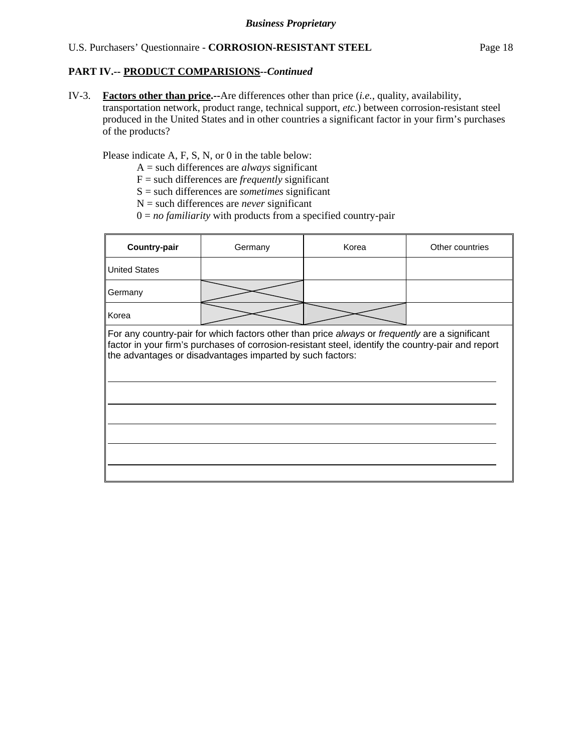### **PART IV.-- PRODUCT COMPARISIONS***--Continued*

IV-3. **Factors other than price.--**Are differences other than price (*i.e.*, quality, availability, transportation network, product range, technical support, *etc.*) between corrosion-resistant steel produced in the United States and in other countries a significant factor in your firm's purchases of the products?

Please indicate A, F, S, N, or 0 in the table below:

- A = such differences are *always* significant
- F = such differences are *frequently* significant
- S = such differences are *sometimes* significant
- $N =$  such differences are *never* significant
- $0 = no$  *familiarity* with products from a specified country-pair

| <b>Country-pair</b>  | Korea<br>Germany                                                                                                                                                                                                                                                  |  | Other countries |
|----------------------|-------------------------------------------------------------------------------------------------------------------------------------------------------------------------------------------------------------------------------------------------------------------|--|-----------------|
| <b>United States</b> |                                                                                                                                                                                                                                                                   |  |                 |
| Germany              |                                                                                                                                                                                                                                                                   |  |                 |
| Korea                |                                                                                                                                                                                                                                                                   |  |                 |
|                      | For any country-pair for which factors other than price always or frequently are a significant<br>factor in your firm's purchases of corrosion-resistant steel, identify the country-pair and report<br>the advantages or disadvantages imparted by such factors: |  |                 |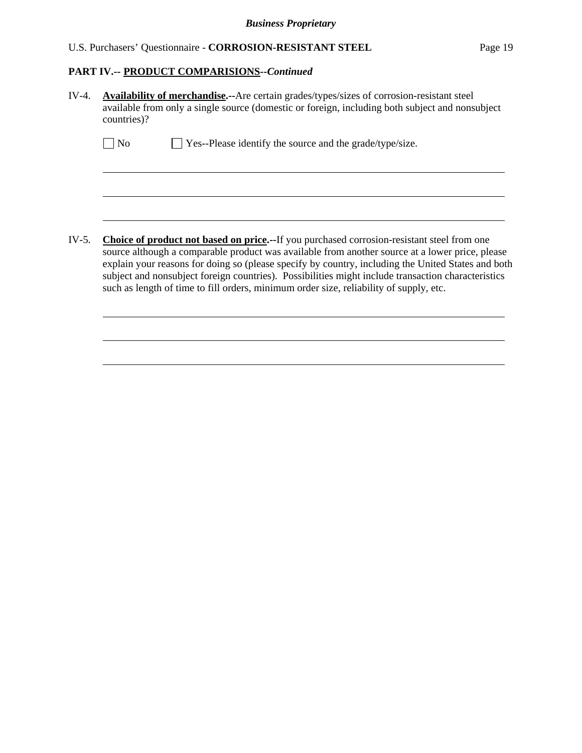### **PART IV.-- PRODUCT COMPARISIONS***--Continued*

 $\overline{a}$ 

l

| IV-4. | Availability of merchandise.--Are certain grades/types/sizes of corrosion-resistant steel       |
|-------|-------------------------------------------------------------------------------------------------|
|       | available from only a single source (domestic or foreign, including both subject and nonsubject |
|       | countries)?                                                                                     |
|       |                                                                                                 |

| $\Box$ No | $\Box$ Yes--Please identify the source and the grade/type/size. |  |
|-----------|-----------------------------------------------------------------|--|
|           |                                                                 |  |

IV-5. **Choice of product not based on price.--**If you purchased corrosion-resistant steel from one source although a comparable product was available from another source at a lower price, please explain your reasons for doing so (please specify by country, including the United States and both subject and nonsubject foreign countries). Possibilities might include transaction characteristics such as length of time to fill orders, minimum order size, reliability of supply, etc.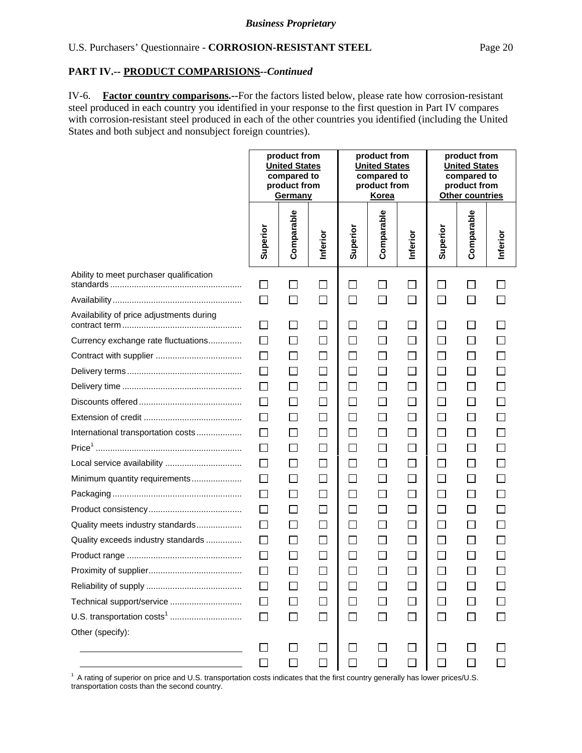### **PART IV.-- PRODUCT COMPARISIONS***--Continued*

IV-6. **Factor country comparisons.--**For the factors listed below, please rate how corrosion-resistant steel produced in each country you identified in your response to the first question in Part IV compares with corrosion-resistant steel produced in each of the other countries you identified (including the United States and both subject and nonsubject foreign countries).

|                                          |              | product from<br><b>United States</b><br><b>United States</b><br>compared to<br>compared to<br>product from<br>product from<br>Korea<br><b>Germany</b> |                             | product from |              | product from<br><b>United States</b><br>compared to<br>product from<br>Other countries |          |            |          |
|------------------------------------------|--------------|-------------------------------------------------------------------------------------------------------------------------------------------------------|-----------------------------|--------------|--------------|----------------------------------------------------------------------------------------|----------|------------|----------|
|                                          | Superior     | Comparable                                                                                                                                            | Inferior                    | Superior     | Comparable   | Inferior                                                                               | Superior | Comparable | Inferior |
| Ability to meet purchaser qualification  | $\Box$       | П                                                                                                                                                     | $\Box$                      | $\Box$       | $\mathsf{L}$ | ⊔                                                                                      | $\Box$   | $\Box$     |          |
|                                          | $\Box$       | $\Box$                                                                                                                                                | $\Box$                      | $\Box$       | $\Box$       | $\Box$                                                                                 | $\Box$   | $\Box$     |          |
| Availability of price adjustments during | $\mathsf{L}$ | $\Box$                                                                                                                                                | $\mathcal{L}_{\mathcal{A}}$ | $\Box$       | $\mathsf{L}$ | $\Box$                                                                                 | $\Box$   | $\Box$     |          |
| Currency exchange rate fluctuations      | $\Box$       | $\Box$                                                                                                                                                | $\Box$                      | $\Box$       | $\Box$       | $\Box$                                                                                 | $\Box$   | $\Box$     |          |
|                                          | П            | $\Box$                                                                                                                                                | $\Box$                      | $\Box$       | $\mathsf{L}$ | $\Box$                                                                                 | $\Box$   | $\Box$     |          |
|                                          | $\Box$       | $\Box$                                                                                                                                                | $\Box$                      | $\Box$       | $\Box$       | $\Box$                                                                                 | $\Box$   | $\Box$     |          |
|                                          | $\Box$       | $\Box$                                                                                                                                                | $\Box$                      | $\Box$       | $\Box$       | $\Box$                                                                                 | $\Box$   | $\Box$     |          |
|                                          | $\Box$       | $\Box$                                                                                                                                                | $\Box$                      | $\Box$       | $\Box$       | $\Box$                                                                                 | $\Box$   | $\Box$     |          |
|                                          | $\Box$       | $\Box$                                                                                                                                                | $\Box$                      | $\Box$       | $\Box$       | $\Box$                                                                                 | $\Box$   | $\Box$     |          |
| International transportation costs       | $\Box$       | $\Box$                                                                                                                                                | $\Box$                      | $\Box$       | $\Box$       | $\Box$                                                                                 | $\Box$   | $\Box$     |          |
|                                          | $\Box$       | $\mathsf{L}$                                                                                                                                          | $\mathcal{L}_{\mathcal{A}}$ | $\Box$       | $\Box$       | $\Box$                                                                                 | $\Box$   | $\Box$     |          |
| Local service availability               | $\Box$       | $\Box$                                                                                                                                                | $\Box$                      | $\Box$       | $\Box$       | $\Box$                                                                                 | $\Box$   | $\Box$     |          |
| Minimum quantity requirements            | $\Box$       | $\Box$                                                                                                                                                | $\Box$                      | $\Box$       | П            | $\Box$                                                                                 | $\Box$   | $\Box$     |          |
|                                          | $\Box$       | $\Box$                                                                                                                                                | $\Box$                      | $\Box$       | П            | $\Box$                                                                                 | $\Box$   | $\Box$     |          |
|                                          | $\Box$       | $\Box$                                                                                                                                                | $\Box$                      | $\Box$       | $\mathsf{L}$ | 囗                                                                                      | $\Box$   | $\Box$     |          |
| Quality meets industry standards         | $\Box$       | $\Box$                                                                                                                                                | $\Box$                      | $\Box$       | $\Box$       | $\Box$                                                                                 | $\Box$   | $\Box$     |          |
| Quality exceeds industry standards       | $\Box$       | $\Box$                                                                                                                                                | $\Box$                      | $\Box$       | $\Box$       | $\Box$                                                                                 | $\Box$   | $\Box$     |          |
|                                          | $\Box$       | $\mathsf{L}$                                                                                                                                          | $\Box$                      | $\Box$       | $\mathsf{L}$ | $\sim$                                                                                 | $\Box$   | $\Box$     |          |
|                                          | $\Box$       | $\mathbf{I}$                                                                                                                                          | $\Box$                      | $\Box$       | $\mathsf{L}$ | П                                                                                      | □        | $\Box$     |          |
|                                          |              |                                                                                                                                                       |                             |              |              |                                                                                        |          |            |          |
| Technical support/service                |              |                                                                                                                                                       | $\mathsf{L}$                | $\Box$       |              | П                                                                                      |          |            |          |
|                                          |              |                                                                                                                                                       | $\Box$                      | $\Box$       |              |                                                                                        |          |            |          |
| Other (specify):                         |              |                                                                                                                                                       |                             |              |              |                                                                                        |          |            |          |
|                                          |              |                                                                                                                                                       | $\Box$                      | П            |              |                                                                                        | $\Box$   |            |          |

1 A rating of superior on price and U.S. transportation costs indicates that the first country generally has lower prices/U.S. transportation costs than the second country.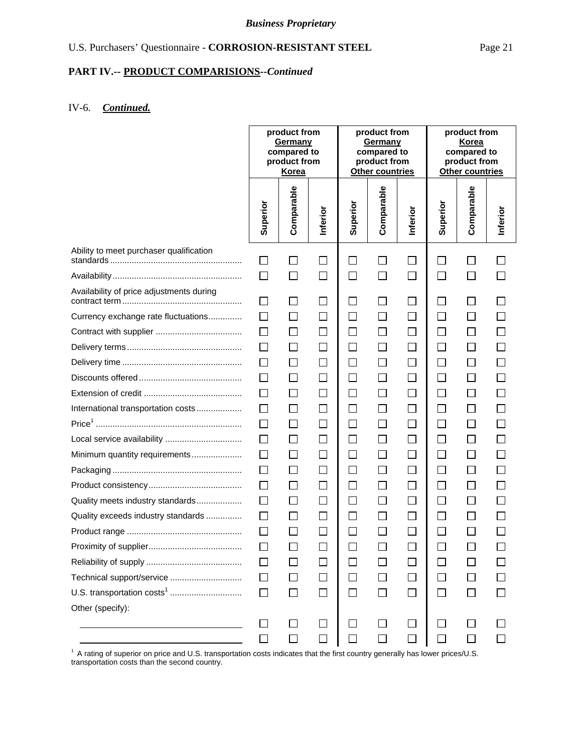#### **PART IV.-- PRODUCT COMPARISIONS***--Continued*

### IV-6. *Continued.*

|                                          | product from<br>product from<br>Germany<br>Germany<br>compared to<br>compared to<br>product from<br>product from<br>Korea<br>Other countries |                |                | product from<br>Korea<br>compared to<br>product from<br><b>Other countries</b> |                          |                          |          |              |          |
|------------------------------------------|----------------------------------------------------------------------------------------------------------------------------------------------|----------------|----------------|--------------------------------------------------------------------------------|--------------------------|--------------------------|----------|--------------|----------|
|                                          | Superior                                                                                                                                     | Comparable     | Inferior       | Superior                                                                       | Comparable               | Inferior                 | Superior | Comparable   | Inferior |
| Ability to meet purchaser qualification  | ΙI                                                                                                                                           | $\mathbb{R}^n$ | $\blacksquare$ | $\Box$                                                                         |                          | $\Box$                   | ப        |              |          |
|                                          | $\Box$                                                                                                                                       | $\Box$         | $\Box$         | $\Box$                                                                         | $\Box$                   | $\Box$                   | $\Box$   | $\Box$       |          |
| Availability of price adjustments during | П                                                                                                                                            | П              | $\Box$         | $\Box$                                                                         | $\mathsf{L}$             | $\Box$                   | ΙI       | $\Box$       |          |
| Currency exchange rate fluctuations      | П                                                                                                                                            | $\mathsf{L}$   | ΙI             | $\Box$                                                                         | $\mathsf{L}$             | ப                        | ΙI       | $\mathsf{L}$ |          |
|                                          | П                                                                                                                                            | $\Box$         | П              | $\Box$                                                                         | $\Box$                   | $\Box$                   | $\Box$   | $\Box$       |          |
|                                          | $\Box$                                                                                                                                       | $\Box$         | П              | $\Box$                                                                         | П                        | $\Box$                   | $\Box$   | $\Box$       |          |
|                                          | $\Box$                                                                                                                                       | П              | ΙI             | $\Box$                                                                         | $\mathsf{L}$             | $\Box$                   | $\Box$   | $\Box$       |          |
|                                          | $\Box$                                                                                                                                       | П              | П              | $\Box$                                                                         | $\Box$                   | $\Box$                   | П        | П            |          |
|                                          | $\Box$                                                                                                                                       | $\Box$         | $\Box$         | $\Box$                                                                         | $\Box$                   | $\Box$                   | $\Box$   | $\Box$       |          |
| International transportation costs       | $\Box$                                                                                                                                       | $\Box$         | П              | $\Box$                                                                         | $\mathsf{L}$             | $\Box$                   | $\Box$   | □            |          |
|                                          | $\Box$                                                                                                                                       | П              | П              | $\Box$                                                                         | П                        | $\Box$                   | $\Box$   | $\Box$       |          |
| Local service availability               | $\Box$                                                                                                                                       | $\Box$         | П              | $\Box$                                                                         | $\Box$                   | ⊔                        | $\Box$   | $\Box$       |          |
| Minimum quantity requirements            | П                                                                                                                                            | $\Box$         | $\mathsf{L}$   | $\Box$                                                                         | $\Box$                   | $\Box$                   | $\Box$   | $\Box$       |          |
|                                          | $\Box$                                                                                                                                       | $\Box$         | П              | $\Box$                                                                         | $\Box$                   | $\Box$                   | $\Box$   | □            |          |
|                                          | $\Box$                                                                                                                                       | $\Box$         | $\mathbb{R}^n$ | $\Box$                                                                         | $\overline{\phantom{a}}$ | $\Box$                   | ⊔        | □            |          |
| Quality meets industry standards         | $\Box$                                                                                                                                       | $\mathsf{L}$   | $\mathsf{L}$   | $\Box$                                                                         | $\mathsf{L}$             | $\overline{\phantom{a}}$ | ப        | $\Box$       |          |
| Quality exceeds industry standards       | $\mathsf{L}$                                                                                                                                 | $\Box$         | $\mathsf{L}$   | $\Box$                                                                         |                          | ப                        | L        | ⊔            |          |
|                                          | $\Box$                                                                                                                                       | П              | П              | $\Box$                                                                         |                          | $\Box$                   | $\Box$   |              |          |
|                                          | $\Box$                                                                                                                                       |                | $\Box$         | $\Box$                                                                         |                          | $\Box$                   | $\Box$   |              |          |
|                                          | $\Box$                                                                                                                                       | $\Box$         |                | $\Box$                                                                         |                          |                          | ΙI       |              |          |
| Technical support/service                | $\perp$                                                                                                                                      | $\mathsf{L}$   |                | $\Box$                                                                         |                          | П                        |          |              |          |
| U.S. transportation costs <sup>1</sup>   | $\Box$                                                                                                                                       | $\mathsf{L}$   | П              | $\Box$                                                                         |                          | $\Box$                   | ΙI       | $\perp$      |          |
| Other (specify):                         |                                                                                                                                              |                |                |                                                                                |                          |                          |          |              |          |
|                                          | $\mathsf{L}$                                                                                                                                 | $\Box$         |                | $\Box$                                                                         |                          |                          | $\Box$   |              |          |

<sup>1</sup> A rating of superior on price and U.S. transportation costs indicates that the first country generally has lower prices/U.S. transportation costs than the second country.